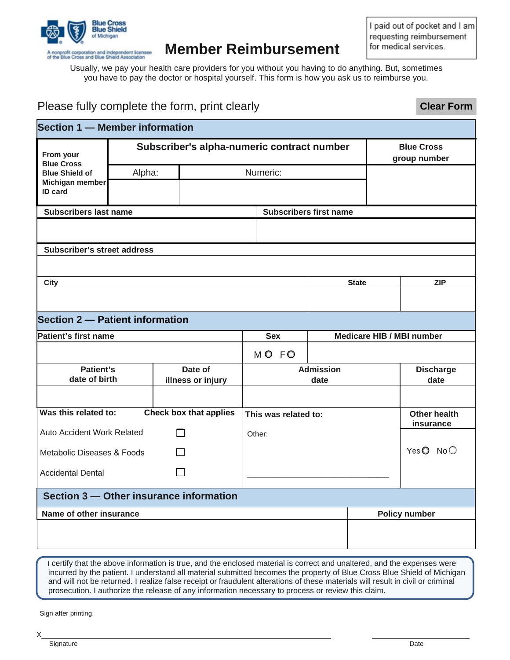

## **Member Reimbursement**

I paid out of pocket and I am requesting reimbursement for medical services.

**Clear Form**

Usually, we pay your health care providers for you without you having to do anything. But, sometimes you have to pay the doctor or hospital yourself. This form is how you ask us to reimburse you.

## Please fully complete the form, print clearly

| <b>Section 1 - Member information</b>    |                                            |                               |                      |                           |  |                                   |  |  |
|------------------------------------------|--------------------------------------------|-------------------------------|----------------------|---------------------------|--|-----------------------------------|--|--|
| From your<br><b>Blue Cross</b>           | Subscriber's alpha-numeric contract number |                               |                      |                           |  | <b>Blue Cross</b><br>group number |  |  |
| <b>Blue Shield of</b>                    | Alpha:                                     | Numeric:                      |                      |                           |  |                                   |  |  |
| Michigan member<br>ID card               |                                            |                               |                      |                           |  |                                   |  |  |
| <b>Subscribers last name</b>             |                                            | <b>Subscribers first name</b> |                      |                           |  |                                   |  |  |
|                                          |                                            |                               |                      |                           |  |                                   |  |  |
| <b>Subscriber's street address</b>       |                                            |                               |                      |                           |  |                                   |  |  |
|                                          |                                            |                               |                      |                           |  |                                   |  |  |
| <b>City</b>                              |                                            |                               |                      | <b>State</b>              |  | <b>ZIP</b>                        |  |  |
|                                          |                                            |                               |                      |                           |  |                                   |  |  |
| Section 2 - Patient information          |                                            |                               |                      |                           |  |                                   |  |  |
| Patient's first name                     |                                            |                               | <b>Sex</b>           | Medicare HIB / MBI number |  |                                   |  |  |
|                                          |                                            |                               | MO FO                |                           |  |                                   |  |  |
| Patient's<br>date of birth               |                                            | Date of                       | <b>Admission</b>     |                           |  | <b>Discharge</b>                  |  |  |
|                                          |                                            | illness or injury             | date                 |                           |  | date                              |  |  |
|                                          |                                            |                               |                      |                           |  |                                   |  |  |
| Was this related to:                     |                                            | <b>Check box that applies</b> | This was related to: |                           |  | <b>Other health</b><br>insurance  |  |  |
| Auto Accident Work Related               |                                            |                               | Other:               |                           |  |                                   |  |  |
| Metabolic Diseases & Foods               |                                            |                               |                      |                           |  | YesO NoO                          |  |  |
| $\mathbf{L}$<br><b>Accidental Dental</b> |                                            |                               |                      |                           |  |                                   |  |  |
| Section 3 – Other insurance information  |                                            |                               |                      |                           |  |                                   |  |  |
| Name of other insurance                  |                                            |                               |                      |                           |  | <b>Policy number</b>              |  |  |
|                                          |                                            |                               |                      |                           |  |                                   |  |  |
|                                          |                                            |                               |                      |                           |  |                                   |  |  |

**I** certify that the above information is true, and the enclosed material is correct and unaltered, and the expenses were incurred by the patient. I understand all material submitted becomes the property of Blue Cross Blue Shield of Michigan and will not be returned. I realize false receipt or fraudulent alterations of these materials will result in civil or criminal prosecution. I authorize the release of any information necessary to process or review this claim.

Sign after printing.

X